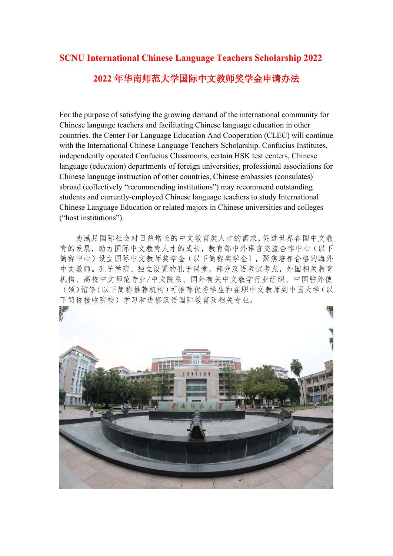# **SCNU International Chinese Language Teachers Scholarship 2022 2022** 年华南师范大学国际中文教师奖学金申请办法

For the purpose of satisfying the growing demand of the international community for Chinese language teachers and facilitating Chinese language education in other countries. the Center For Language Education And Cooperation (CLEC) will continue with the International Chinese Language Teachers Scholarship. Confucius Institutes, independently operated Confucius Classrooms, certain HSK test centers, Chinese language (education) departments of foreign universities, professional associations for Chinese language instruction of other countries, Chinese embassies (consulates) abroad (collectively "recommending institutions") may recommend outstanding students and currently-employed Chinese language teachers to study International Chinese Language Education or related majors in Chinese universities and colleges ("host institutions").

为满足国际社会对日益增长的中文教育类人才的需求,促进世界各国中文教 育的发展,助力国际中文教育人才的成长,教育部中外语言交流合作中心(以下 简称中心)设立国际中文教师奖学金(以下简称奖学金),聚焦培养合格的海外 中文教师。孔子学院、独立设置的孔子课堂,部分汉语考试考点,外国相关教育 机构、高校中文师范专业/中文院系、国外有关中文教学行业组织、中国驻外使 (领)馆等(以下简称推荐机构)可推荐优秀学生和在职中文教师到中国大学(以 下简称接收院校)学习和进修汉语国际教育及相关专业。

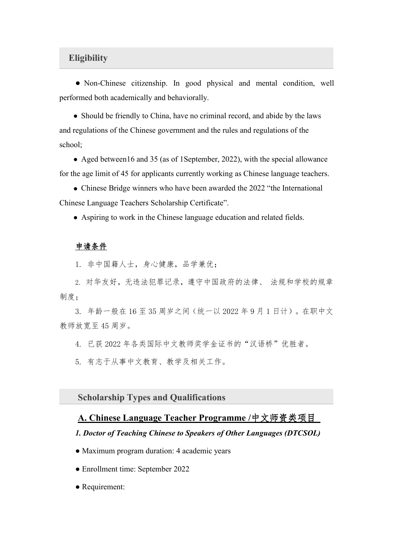## **Eligibility**

● Non-Chinese citizenship. In good physical and mental condition, well performed both academically and behaviorally.

• Should be friendly to China, have no criminal record, and abide by the laws and regulations of the Chinese government and the rules and regulations of the school;

• Aged between16 and 35 (as of 1September, 2022), with the special allowance for the age limit of 45 for applicants currently working as Chinese language teachers.

● Chinese Bridge winners who have been awarded the 2022 "the International Chinese Language Teachers Scholarship Certificate".

● Aspiring to work in the Chinese language education and related fields.

## 申请条件

1. 非中国籍人士,身心健康,品学兼优;

2. 对华友好,无违法犯罪记录,遵守中国政府的法律、 法规和学校的规章 制度;

3. 年龄一般在 16 至 35 周岁之间(统一以 2022 年 9 月 1 日计)。在职中文 教师放宽至 45 周岁。

4. 已获 2022 年各类国际中文教师奖学金证书的"汉语桥"优胜者。

5. 有志于从事中文教育、教学及相关工作。

**Scholarship Types and Qualifications**

## **A. Chinese Language Teacher Programme /**中文师资类项目

#### *1. Doctor ofTeaching Chinese to Speakers of Other Languages (DTCSOL)*

- Maximum program duration: 4 academic years
- Enrollment time: September 2022
- Requirement: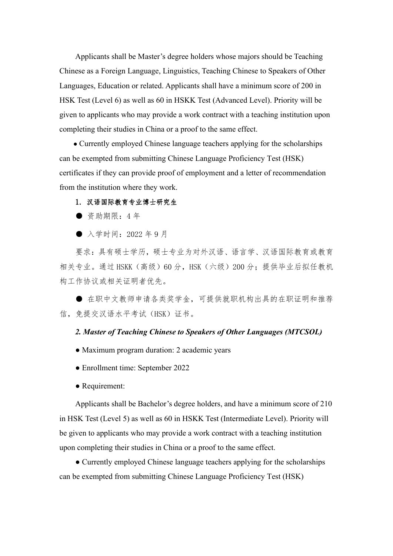Applicants shall be Master's degree holders whose majors should be Teaching Chinese asa Foreign Language, Linguistics, Teaching Chinese to Speakers of Other Languages, Education or related. Applicants shall have a minimum score of 200 in HSK Test (Level 6) as well as 60 in HSKK Test (Advanced Level). Priority will be given to applicants who may provide a work contract with a teaching institution upon completing their studies in China or a proof to the same effect.

• Currently employed Chinese language teachers applying for the scholarships can be exempted from submitting Chinese Language Proficiency Test (HSK) certificates if they can provide proof of employment and a letter of recommendation from the institution where they work.

#### 1. 汉语国际教育专业博士研究生

● 资助期限:4 年

● 入学时间: 2022年9月

要求:具有硕士学历,硕士专业为对外汉语、语言学、汉语国际教育或教育 相关专业。通过 HSKK(高级)60分,HSK(六级)200分;提供毕业后拟任教机 构工作协议或相关证明者优先。

● 在职中文教师申请各类奖学金,可提供就职机构出具的在职证明和推荐 信,免提交汉语水平考试(HSK)证书。

## *2. Master of Teaching Chinese to Speakers ofOther Languages (MTCSOL)*

- Maximum program duration: 2 academic years
- Enrollment time: September 2022
- Requirement:

Applicants shall be Bachelor's degree holders, and have a minimum score of 210 in HSK Test (Level 5) as well as 60 in HSKK Test (Intermediate Level). Priority will be given to applicants who may provide a work contract with a teaching institution upon completing their studies in China or a proof to the same effect.

● Currently employed Chinese language teachers applying for the scholarships can be exempted from submitting Chinese Language Proficiency Test (HSK)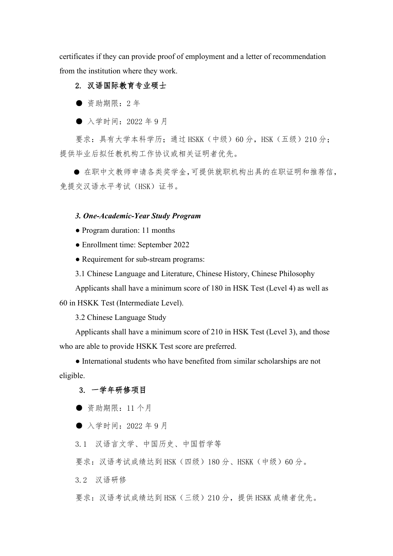certificates if they can provide proof of employment and a letter of recommendation from the institution where they work.

# 2. 汉语国际教育专业硕士

● 资助期限:2 年

● 入学时间: 2022年9月

要求: 具有大学本科学历; 通过 HSKK(中级) 60 分, HSK(五级) 210 分; 提供毕业后拟任教机构工作协议或相关证明者优先。

● 在职中文教师申请各类奖学金,可提供就职机构出具的在职证明和推荐信, 免提交汉语水平考试(HSK)证书。

## *3. One-Academic-Year Study Program*

● Program duration: 11 months

• Enrollment time: September 2022

• Requirement for sub-stream programs:

3.1 Chinese Language and Literature, Chinese History, Chinese Philosophy

Applicants shall have a minimum score of 180 in HSK Test (Level 4) as well as 60 in HSKK Test (Intermediate Level).

3.2 Chinese Language Study

Applicants shall have a minimum score of 210 in HSK Test (Level 3), and those who are able to provide HSKK Test score are preferred.

● International students who have benefited from similar scholarships are not eligible.

# 3. 一学年研修项目

● 资助期限:11 个月

● 入学时间: 2022年9月

3.1 汉语言文学、中国历史、中国哲学等

要求: 汉语考试成绩达到 HSK(四级) 180 分、HSKK(中级) 60 分。

3.2 汉语研修

要求: 汉语考试成绩达到 HSK(三级) 210 分, 提供 HSKK 成绩者优先。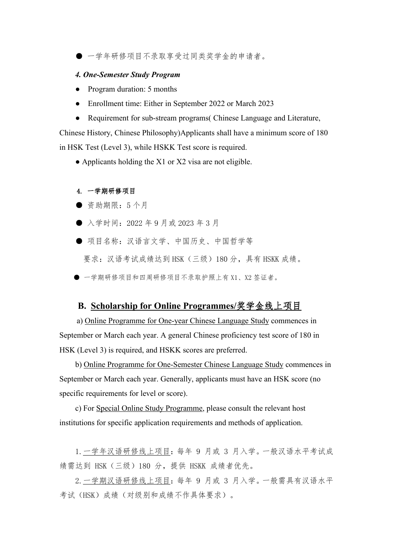● 一学年研修项目不录取享受过同类奖学金的申请者。

#### *4. One-Semester Study Program*

- Program duration: 5 months
- Enrollment time: Either in September 2022 or March 2023
- Requirement for sub-stream programs Chinese Language and Literature,

Chinese History, Chinese Philosophy)Applicants shall have a minimum score of 180 in HSK Test (Level 3), while HSKK Test score is required.

• Applicants holding the  $X1$  or  $X2$  visa are not eligible.

#### 4. 一学期研修项目

- 资助期限:5 个月
- 入学时间: 2022 年 9 月或 2023 年 3 月
- 项目名称:汉语言文学、中国历史、中国哲学等 要求:汉语考试成绩达到 HSK(三级)180 分,具有 HSKK 成绩。
- 一学期研修项目和四周研修项目不录取护照上有 X1、X2 签证者。

## **B. Scholarship for Online Programmes/**奖学金线上项目

a) Online Programme for One-year Chinese Language Study commences in September or March each year. A general Chinese proficiency test score of 180 in HSK (Level 3) is required, and HSKK scores are preferred.

b) Online Programme for One-Semester Chinese Language Study commences in September or March each year. Generally, applicants must have an HSK score (no specific requirements for level or score).

c) For Special Online Study Programme, please consult the relevant host institutions for specific application requirements and methods of application.

1.一学年汉语研修线上项目:每年 9 月或 3 月入学。一般汉语水平考试成 绩需达到 HSK(三级)180 分,提供 HSKK 成绩者优先。

2.一学期汉语研修线上项目:每年 9 月或 3 月入学。一般需具有汉语水平 考试(HSK)成绩(对级别和成绩不作具体要求)。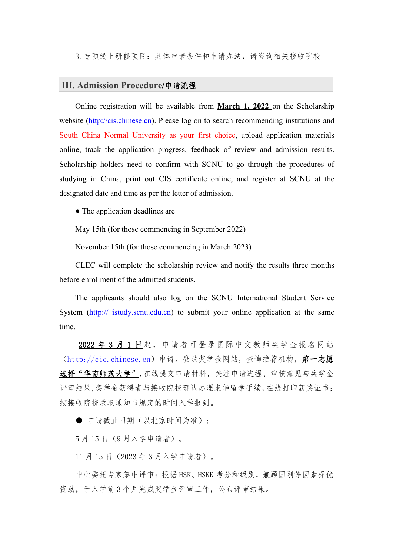3.专项线上研修项目:具体申请条件和申请办法,请咨询相关接收院校

#### **III. Admission Procedure/**申请流程

Online registration will be available from **March 1, 2022** on the Scholarship website [\(http://cis.chinese.cn\)](http://cis.chinese.cn/). Please log on to search recommending institutions and South China Normal University as your first choice, upload application materials online, track the application progress, feedback of review and admission results. Scholarship holders need to confirm with SCNU to go through the procedures of studying in China, print out CIS certificate online, and register at SCNU at the designated date and time as per the letter of admission.

• The application deadlines are

May 15th (for those commencing in September 2022)

November 15th (for those commencing in March 2023)

CLEC will complete the scholarship review and notify the results three months before enrollment of the admitted students.

The applicants should also log on the SCNU International Student Service System (http:// istudy.scnu.edu.cn) to submit your online application at the same time.

2022 年 3 月 1 日起,申请者可登录国际中文教师奖学金报名网站 ([http://cic.chinese.cn](http://cic.chinese.cn/))申请。登录奖学金网站,查询推荐机构,第一志愿 选择"华南师范大学",在线提交申请材料,关注申请进程、审核意见与奖学金 评审结果,奖学金获得者与接收院校确认办理来华留学手续,在线打印获奖证书; 按接收院校录取通知书规定的时间入学报到。

● 申请截止日期(以北京时间为准):

5 月 15 日(9 月入学申请者)。

11 月 15 日(2023 年 3 月入学申请者)。

中心委托专家集中评审:根据 HSK、HSKK 考分和级别,兼顾国别等因素择优 资助,于入学前 3 个月完成奖学金评审工作,公布评审结果。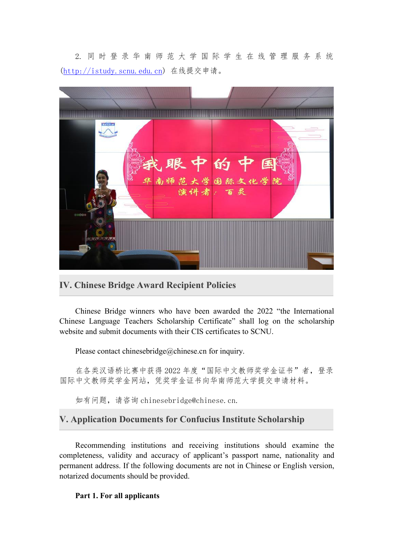2. 同 时 登 录 华 南 师 范 大 学 国 际 学 生 在 线 管 理 服 务 系 统 ([http://istudy.scnu.edu.cn](http://istudy.scnu.edu.cn/)) 在线提交申请。



**IV. Chinese Bridge Award Recipient Policies**

Chinese Bridge winners who have been awarded the 2022 "the International Chinese Language Teachers Scholarship Certificate" shall log on the scholarship website and submit documents with their CIS certificates to SCNU.

Please contact chinesebridge@chinese.cn for inquiry.

在各类汉语桥比赛中获得 2022 年度"国际中文教师奖学金证书"者,登录 国际中文教师奖学金网站,凭奖学金证书向华南师范大学提交申请材料。

如有问题,请咨询 chinesebridge@chinese.cn.

# **V. Application Documents for Confucius Institute Scholarship**

Recommending institutions and receiving institutions should examine the completeness, validity and accuracy of applicant's passport name, nationality and permanent address. If the following documents are not in Chinese or English version, notarized documents should be provided.

## **Part 1. For all applicants**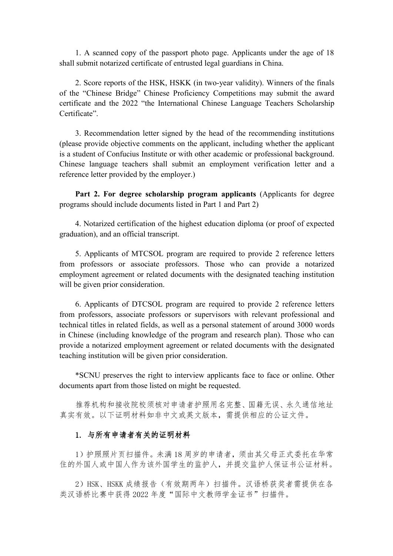1. A scanned copy of the passport photo page. Applicants under the age of 18 shall submit notarized certificate of entrusted legal guardians in China.

2. Score reports of the HSK, HSKK (in two-year validity). Winners of the finals of the "Chinese Bridge" Chinese Proficiency Competitions may submit the award certificate and the 2022 "the International Chinese Language Teachers Scholarship Certificate".

3. Recommendation letter signed by the head of the recommending institutions (please provide objective comments on the applicant, including whether the applicant is a student of Confucius Institute or with other academic or professional background. Chinese language teachers shall submit an employment verification letter and a reference letter provided by the employer.)

**Part 2. For degree scholarship program applicants** (Applicants for degree programs should include documents listed in Part 1 and Part 2)

4. Notarized certification of the highest education diploma (or proof of expected graduation), and an official transcript.

5. Applicants of MTCSOL program are required to provide 2 reference letters from professors or associate professors. Those who can provide a notarized employment agreement or related documents with the designated teaching institution will be given prior consideration.

6. Applicants of DTCSOL program are required to provide 2 reference letters from professors, associate professors or supervisors with relevant professional and technical titles in related fields, as well as a personal statement of around 3000 words in Chinese (including knowledge of the program and research plan). Those who can provide a notarized employment agreement or related documents with the designated teaching institution will be given prior consideration.

\*SCNU preserves the right to interview applicants face to face oronline. Other documents apart from those listed on might be requested.

推荐机构和接收院校须核对申请者护照用名完整、国籍无误、永久通信地址 真实有效。以下证明材料如非中文或英文版本,需提供相应的公证文件。

## 1. 与所有申请者有关的证明材料

1)护照照片页扫描件。未满 18 周岁的申请者,须由其父母正式委托在华常 住的外国人或中国人作为该外国学生的监护人,并提交监护人保证书公证材料。

2)HSK、HSKK 成绩报告(有效期两年)扫描件。汉语桥获奖者需提供在各 类汉语桥比赛中获得 2022 年度"国际中文教师学金证书"扫描件。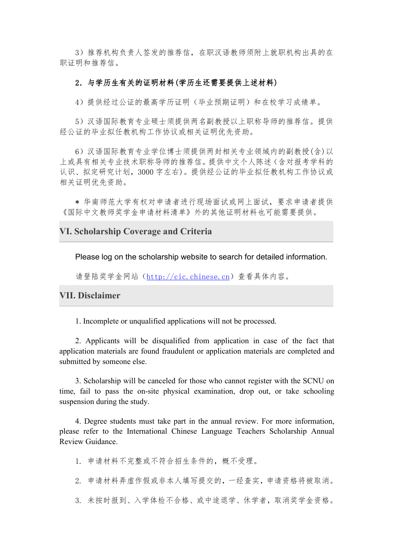3)推荐机构负责人签发的推荐信,在职汉语教师须附上就职机构出具的在 职证明和推荐信。

#### 2.与学历生有关的证明材料(学历生还需要提供上述材料)

4)提供经过公证的最高学历证明(毕业预期证明)和在校学习成绩单。

5)汉语国际教育专业硕士须提供两名副教授以上职称导师的推荐信。提供 经公证的毕业拟任教机构工作协议或相关证明优先资助。

6)汉语国际教育专业学位博士须提供两封相关专业领域内的副教授(含)以 上或具有相关专业技术职称导师的推荐信。提供中文个人陈述(含对报考学科的 认识、拟定研究计划,3000 字左右)。提供经公证的毕业拟任教机构工作协议或 相关证明优先资助。

\* 华南师范大学有权对申请者进行现场面试或网上面试,要求申请者提供 《国际中文教师奖学金申请材料清单》外的其他证明材料也可能需要提供。

## **VI. Scholarship Coverage and Criteria**

Please log on the scholarship website to search for detailed information.

请登陆奖学金网站([http://cic.chinese.cn](http://cic.chinese.cn/))查看具体内容。

## **VII. Disclaimer**

1. Incomplete or unqualified applications will not be processed.

2. Applicants will be disqualified from application in case of the fact that application materials are found fraudulent or application materials are completed and submitted by someone else.

3. Scholarship will be canceled for those who cannot register with the SCNU on time, fail to pass the on-site physical examination, drop out, or take schooling suspension during the study.

4. Degree students must take part in the annual review. For more information, please refer to the International Chinese Language Teachers Scholarship Annual Review Guidance.

1. 申请材料不完整或不符合招生条件的,概不受理。

2. 申请材料弄虚作假或非本人填写提交的,一经查实,申请资格将被取消。

3. 未按时报到、入学体检不合格、或中途退学、休学者,取消奖学金资格。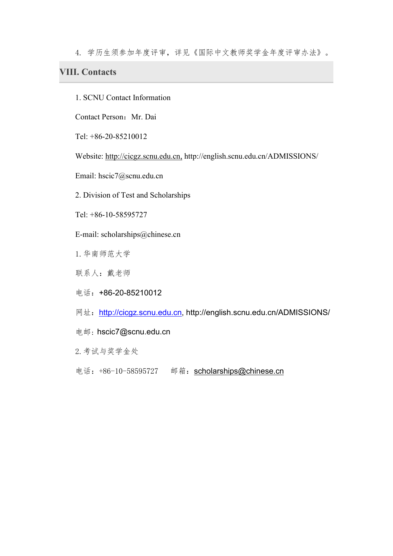4. 学历生须参加年度评审,详见《国际中文教师奖学金年度评审办法》。

# **VIII. Contacts**

1. SCNU Contact Information

Contact Person: Mr. Dai

Tel: +86-20-85210012

Website: <http://cicgz.scnu.edu.cn,> http://english.scnu.edu.cn/ADMISSIONS/

Email: hscic7@scnu.edu.cn

2. Division of Test and Scholarships

Tel: +86-10-58595727

E-mail: scholarships@chinese.cn

1.华南师范大学

联系人:戴老师

电话:+86-20-85210012

网址: [http://cicgz.scnu.edu.cn](http://cicgz.scnu.edu.cn/), http://english.scnu.edu.cn/ADMISSIONS/

电邮: [hscic7@scnu.edu.cn](mailto:hscic7@scnu.edu.cn)

2.考试与奖学金处

电话: +86-10-58595727 邮箱: [scholarships@chinese.cn](mailto:scholarships@chinese.cn)